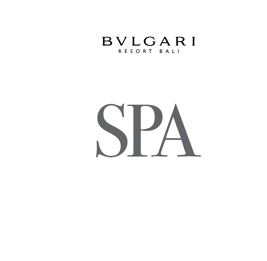

# $\mathbf{P}$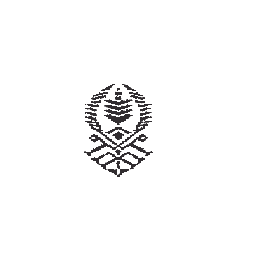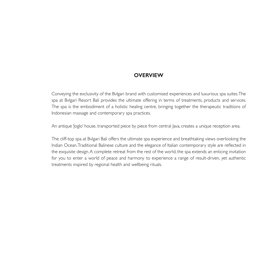### **OVERVIEW**

Conveying the exclusivity of the Bvlgari brand with customised experiences and luxurious spa suites. The spa at Bvlgari Resort Bali provides the ultimate offering in terms of treatments, products and services. The spa is the embodiment of a holistic healing centre, bringing together the therapeutic traditions of Indonesian massage and contemporary spa practices.

An antique 'Joglo' house, transported piece by piece from central Java, creates a unique reception area.

The cliff-top spa at Bvlgari Bali offers the ultimate spa experience and breathtaking views overlooking the Indian Ocean. Traditional Balinese culture and the elegance of Italian contemporary style are reflected in the exquisite design. A complete retreat from the rest of the world, the spa extends an enticing invitation for you to enter a world of peace and harmony to experience a range of result-driven, yet authentic treatments inspired by regional health and wellbeing rituals.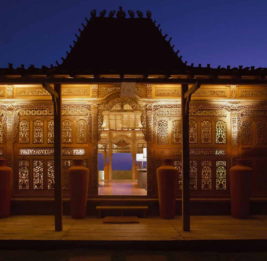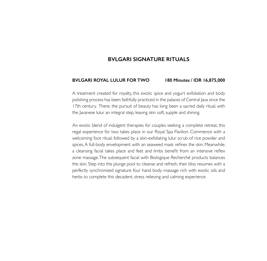### **BVLGARI SIGNATURE RITUALS**

#### **BVLGARI ROYAL LULUR FOR TWO 180 Minutes / IDR 16,875,000**

A treatment created for royalty, this exotic spice and yogurt exfoliation and body polishing process has been faithfully practiced in the palaces of Central Java since the 17th century. There, the pursuit of beauty has long been a sacred daily ritual, with the Javanese lulur an integral step, leaving skin soft, supple and shining.

An exotic blend of indulgent therapies for couples seeking a complete retreat, this regal experience for two takes place in our Royal Spa Pavilion. Commence with a welcoming foot ritual, followed by a skin-exfoliating lulur scrub of rice powder and spices. A full-body envelopment with an seaweed mask refines the skin. Meanwhile, a cleansing facial takes place and feet and limbs benefit from an intensive reflex zone massage. The subsequent facial with Biologique Recherché products balances the skin. Step into the plunge pool to cleanse and refresh, then bliss resumes with a perfectly synchronized signature four hand body massage rich with exotic oils and herbs to complete this decadent, stress relieving and calming experience.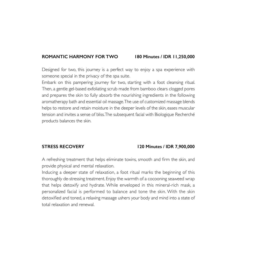#### **ROMANTIC HARMONY FOR TWO 180 Minutes / IDR 11,250,000**

Designed for two, this journey is a perfect way to enjoy a spa experience with someone special in the privacy of the spa suite.

Embark on this pampering journey for two, starting with a foot cleansing ritual. Then, a gentle gel-based exfoliating scrub made from bamboo clears clogged pores and prepares the skin to fully absorb the nourishing ingredients in the following aromatherapy bath and essential oil massage. The use of customized massage blends helps to restore and retain moisture in the deeper levels of the skin, eases muscular tension and invites a sense of bliss. The subsequent facial with Biologique Recherché products balances the skin.

#### **STRESS RECOVERY 120 Minutes / IDR 7,900,000**

A refreshing treatment that helps eliminate toxins, smooth and firm the skin, and provide physical and mental relaxation.

Inducing a deeper state of relaxation, a foot ritual marks the beginning of this thoroughly de-stressing treatment. Enjoy the warmth of a cocooning seaweed wrap that helps detoxify and hydrate. While enveloped in this mineral-rich mask, a personalized facial is performed to balance and tone the skin. With the skin detoxified and toned, a relaxing massage ushers your body and mind into a state of total relaxation and renewal.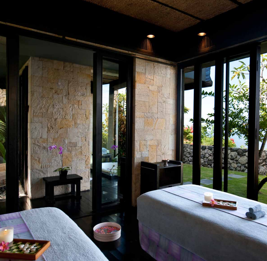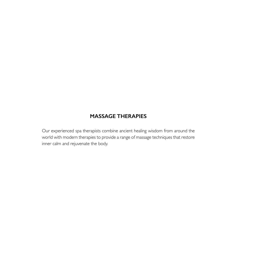### **MASSAGE THERAPIES**

Our experienced spa therapists combine ancient healing wisdom from around the world with modern therapies to provide a range of massage techniques that restore inner calm and rejuvenate the body.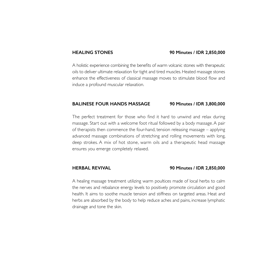#### **HEALING STONES 90 Minutes / IDR 2,850,000**

A holistic experience combining the benefits of warm volcanic stones with therapeutic oils to deliver ultimate relaxation for tight and tired muscles. Heated massage stones enhance the effectiveness of classical massage moves to stimulate blood flow and induce a profound muscular relaxation.

#### **BALINESE FOUR HANDS MASSAGE 90 Minutes / IDR 3,800,000**

The perfect treatment for those who find it hard to unwind and relax during massage. Start out with a welcome foot ritual followed by a body massage. A pair of therapists then commence the four-hand, tension releasing massage – applying advanced massage combinations of stretching and rolling movements with long, deep strokes. A mix of hot stone, warm oils and a therapeutic head massage ensures you emerge completely relaxed.

#### **HERBAL REVIVAL 90 Minutes / IDR 2,850,000**

A healing massage treatment utilizing warm poultices made of local herbs to calm the nerves and rebalance energy levels to positively promote circulation and good health. It aims to soothe muscle tension and stiffness on targeted areas. Heat and herbs are absorbed by the body to help reduce aches and pains, increase lymphatic drainage and tone the skin.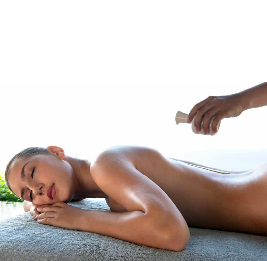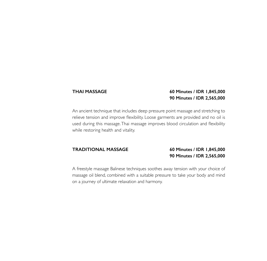### **THAI MASSAGE 60 Minutes / IDR 1,845,000 90 Minutes / IDR 2,565,000**

An ancient technique that includes deep pressure point massage and stretching to relieve tension and improve flexibility. Loose garments are provided and no oil is used during this massage. Thai massage improves blood circulation and flexibility while restoring health and vitality.

### **TRADITIONAL MASSAGE 60 Minutes / IDR 1,845,000 90 Minutes / IDR 2,565,000**

A freestyle massage Balinese techniques soothes away tension with your choice of massage oil blend, combined with a suitable pressure to take your body and mind on a journey of ultimate relaxation and harmony.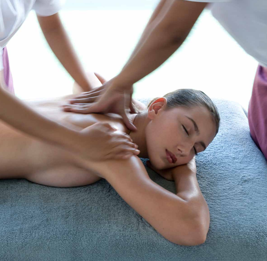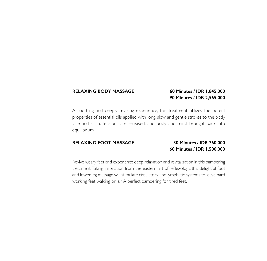#### **RELAXING BODY MASSAGE 60 Minutes / IDR 1,845,000**

## **90 Minutes / IDR 2,565,000**

A soothing and deeply relaxing experience, this treatment utilizes the potent properties of essential oils applied with long, slow and gentle strokes to the body, face and scalp. Tensions are released, and body and mind brought back into equilibrium.

### **RELAXING FOOT MASSAGE 30 Minutes / IDR 760,000**

# **60 Minutes / IDR 1,500,000**

Revive weary feet and experience deep relaxation and revitalization in this pampering treatment. Taking inspiration from the eastern art of reflexology, this delightful foot and lower leg massage will stimulate circulatory and lymphatic systems to leave hard working feet walking on air. A perfect pampering for tired feet.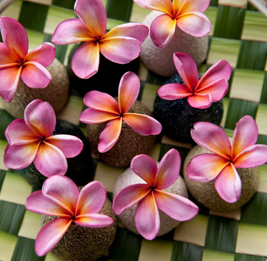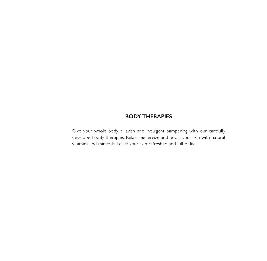### **BODY THERAPIES**

Give your whole body a lavish and indulgent pampering with our carefully developed body therapies. Relax, reenergize and boost your skin with natural vitamins and minerals. Leave your skin refreshed and full of life.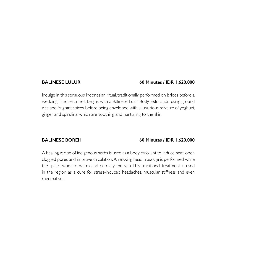#### **BALINESE LULUR 60 Minutes / IDR 1,620,000**

Indulge in this sensuous Indonesian ritual, traditionally performed on brides before a wedding. The treatment begins with a Balinese Lulur Body Exfoliation using ground rice and fragrant spices, before being enveloped with a luxurious mixture of yoghurt, ginger and spirulina, which are soothing and nurturing to the skin.

#### **BALINESE BOREH 60 Minutes / IDR 1,620,000**

A healing recipe of indigenous herbs is used as a body exfoliant to induce heat, open clogged pores and improve circulation. A relaxing head massage is performed while the spices work to warm and detoxify the skin. This traditional treatment is used in the region as a cure for stress-induced headaches, muscular stiffness and even rheumatism.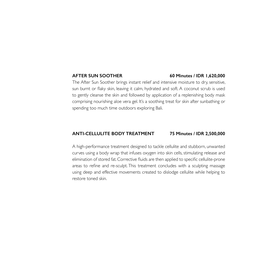#### **AFTER SUN SOOTHER 60 Minutes / IDR 1,620,000**

The After Sun Soother brings instant relief and intensive moisture to dry, sensitive, sun burnt or flaky skin, leaving it calm, hydrated and soft. A coconut scrub is used to gently cleanse the skin and followed by application of a replenishing body mask comprising nourishing aloe vera gel. It's a soothing treat for skin after sunbathing or spending too much time outdoors exploring Bali.

#### **ANTI-CELLULITE BODY TREATMENT 75 Minutes / IDR 2,500,000**

A high-performance treatment designed to tackle cellulite and stubborn, unwanted curves using a body wrap that infuses oxygen into skin cells, stimulating release and elimination of stored fat. Corrective fluids are then applied to specific cellulite-prone areas to refine and re-sculpt. This treatment concludes with a sculpting massage using deep and effective movements created to dislodge cellulite while helping to restore toned skin.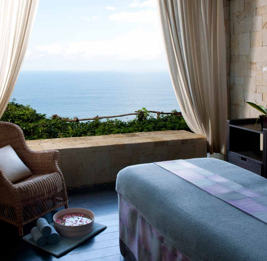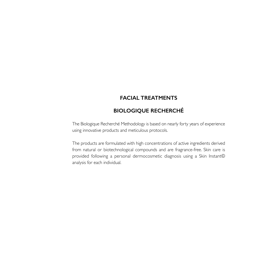### **FACIAL TREATMENTS**

### **BIOLOGIQUE RECHERCHÉ**

The Biologique Recherché Methodology is based on nearly forty years of experience using innovative products and meticulous protocols.

The products are formulated with high concentrations of active ingredients derived from natural or biotechnological compounds and are fragrance-free. Skin care is provided following a personal dermocosmetic diagnosis using a Skin Instant© analysis for each individual.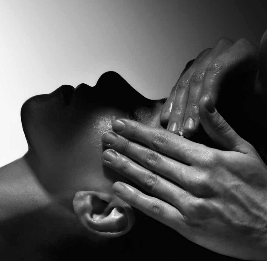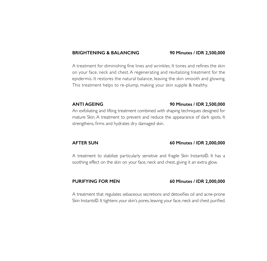#### **BRIGHTENING & BALANCING 90 Minutes / IDR 2,500,000**

A treatment for diminishing fine lines and wrinkles. It tones and refines the skin on your face, neck and chest. A regenerating and revitalizing treatment for the epidermis. It restores the natural balance, leaving the skin smooth and glowing. This treatment helps to re-plump, making your skin supple & healthy.

#### **ANTI AGEING 90 Minutes / IDR 2,500,000**

### An exfoliating and lifting treatment combined with shaping techniques designed for mature Skin. A treatment to prevent and reduce the appearance of dark spots. It strengthens, firms and hydrates dry damaged skin.

#### **AFTER SUN 60 Minutes / IDR 2,000,000**

A treatment to stabilize particularly sensitive and fragile Skin Instants©. It has a soothing effect on the skin on your face, neck and chest, giving it an extra glow.

#### **PURIFYING FOR MEN 60 Minutes / IDR 2,000,000**

A treatment that regulates sebaceous secretions and detoxifies oil and acne-prone Skin Instants©. It tightens your skin's pores, leaving your face, neck and chest purified.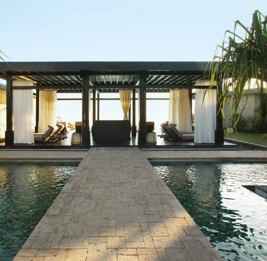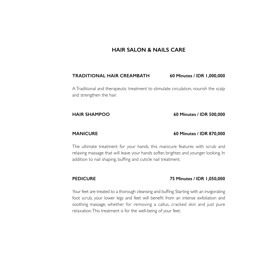### **HAIR SALON & NAILS CARE**

#### **TRADITIONAL HAIR CREAMBATH 60 Minutes / IDR 1,000,000**

A Traditional and therapeutic treatment to stimulate circulation, nourish the scalp and strengthen the hair.

**HAIR SHAMPOO 60 Minutes / IDR 500,000**

#### **MANICURE 60 Minutes / IDR 870,000**

The ultimate treatment for your hands, this manicure features with scrub and relaxing massage that will leave your hands softer, brighter, and younger looking. In addition to nail shaping, buffing and cuticle nail treatment.

#### **PEDICURE 75 Minutes / IDR 1,050,000**

Your feet are treated to a thorough cleansing and buffing. Starting with an invigorating foot scrub, your lower legs and feet will benefit from an intense exfoliation and soothing massage, whether for removing a callus, cracked skin and just pure relaxation. This treatment is for the well-being of your feet.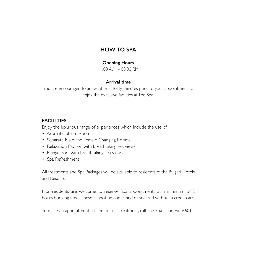### **HOW TO SPA**

#### **Opening Hours**

11.00 A.M. - 08.00 P.M.

### **Arrival time**

You are encouraged to arrive at least forty minutes prior to your appointment to enjoy the exclusive facilities at The Spa.

### **FACILITIES**

Enjoy the luxurious range of experiences which include the use of:

- Aromatic Steam Room
- Separate Male and Female Changing Rooms
- Relaxation Pavilion with breathtaking sea views
- Plunge pool with breathtaking sea views
- Spa Refreshment

All treatments and Spa Packages will be available to residents of the Bvlgari Hotels and Resorts.

Non-residents are welcome to reserve Spa appointments at a minimum of 2 hours booking time. These cannot be confirmed or secured without a credit card.

To make an appointment for the perfect treatment, call The Spa at on Ext 6601.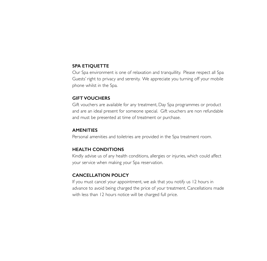#### **SPA ETIQUETTE**

Our Spa environment is one of relaxation and tranquillity. Please respect all Spa Guests' right to privacy and serenity. We appreciate you turning off your mobile phone whilst in the Spa.

#### **GIFT VOUCHERS**

Gift vouchers are available for any treatment, Day Spa programmes or product and are an ideal present for someone special. Gift vouchers are non refundable and must be presented at time of treatment or purchase.

#### **AMENITIES**

Personal amenities and toiletries are provided in the Spa treatment room.

#### **HEALTH CONDITIONS**

Kindly advise us of any health conditions, allergies or injuries, which could affect your service when making your Spa reservation.

#### **CANCELLATION POLICY**

If you must cancel your appointment, we ask that you notify us 12 hours in advance to avoid being charged the price of your treatment. Cancellations made with less than 12 hours notice will be charged full price.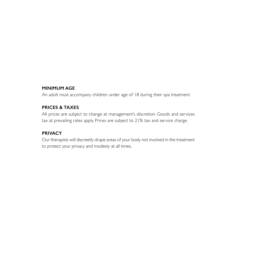### **MINIMUM AGE**

An adult must accompany children under age of 18 during their spa treatment

### **PRICES & TAXES**

All prices are subject to change at management's discretion. Goods and services tax at prevailing rates apply. Prices are subject to 21% tax and service charge.

### **PRIVACY**

Our therapists will discreetly drape areas of your body not involved in the treatment to protect your privacy and modesty at all times.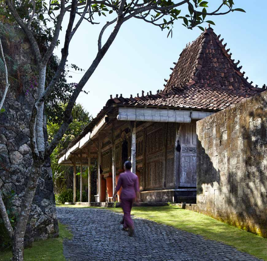